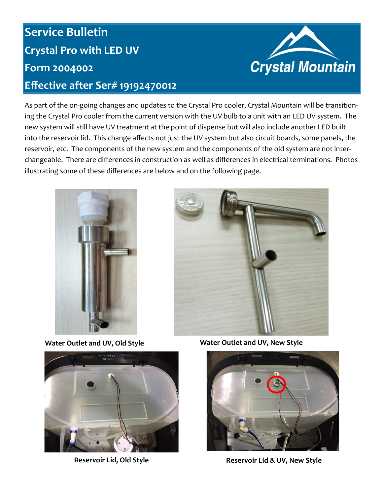## **Service Bulletin Crystal Pro with LED UV Form 2004002 Effective after Ser# 19192470012**



As part of the on-going changes and updates to the Crystal Pro cooler, Crystal Mountain will be transitioning the Crystal Pro cooler from the current version with the UV bulb to a unit with an LED UV system. The new system will still have UV treatment at the point of dispense but will also include another LED built into the reservoir lid. This change affects not just the UV system but also circuit boards, some panels, the reservoir, etc. The components of the new system and the components of the old system are not interchangeable. There are differences in construction as well as differences in electrical terminations. Photos illustrating some of these differences are below and on the following page.







**Water Outlet and UV, Old Style Water Outlet and UV, New Style**



**Reservoir Lid, Old Style Reservoir Lid & UV, New Style**